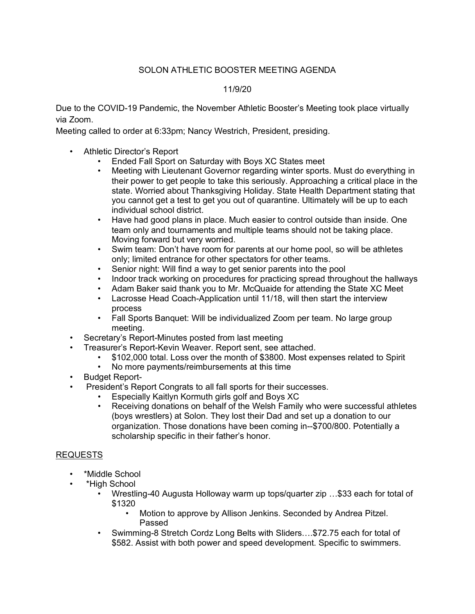## SOLON ATHLETIC BOOSTER MEETING AGENDA

## 11/9/20

Due to the COVID-19 Pandemic, the November Athletic Booster's Meeting took place virtually via Zoom.

Meeting called to order at 6:33pm; Nancy Westrich, President, presiding.

- Athletic Director's Report
	- Ended Fall Sport on Saturday with Boys XC States meet
	- Meeting with Lieutenant Governor regarding winter sports. Must do everything in their power to get people to take this seriously. Approaching a critical place in the state. Worried about Thanksgiving Holiday. State Health Department stating that you cannot get a test to get you out of quarantine. Ultimately will be up to each individual school district.
	- Have had good plans in place. Much easier to control outside than inside. One team only and tournaments and multiple teams should not be taking place. Moving forward but very worried.
	- Swim team: Don't have room for parents at our home pool, so will be athletes only; limited entrance for other spectators for other teams.
	- Senior night: Will find a way to get senior parents into the pool
	- Indoor track working on procedures for practicing spread throughout the hallways
	- Adam Baker said thank you to Mr. McQuaide for attending the State XC Meet<br>• Lacrosse Head Coach-Application until 11/18 will then start the interview
	- Lacrosse Head Coach-Application until 11/18, will then start the interview process
	- Fall Sports Banquet: Will be individualized Zoom per team. No large group meeting.
- Secretary's Report-Minutes posted from last meeting
- Treasurer's Report-Kevin Weaver. Report sent, see attached.
	- \$102,000 total. Loss over the month of \$3800. Most expenses related to Spirit
	- No more payments/reimbursements at this time
- Budget Report-
- President's Report Congrats to all fall sports for their successes.
	- Especially Kaitlyn Kormuth girls golf and Boys XC
	- Receiving donations on behalf of the Welsh Family who were successful athletes (boys wrestlers) at Solon. They lost their Dad and set up a donation to our organization. Those donations have been coming in--\$700/800. Potentially a scholarship specific in their father's honor.

## REQUESTS

- \*Middle School
- \*High School
	- Wrestling-40 Augusta Holloway warm up tops/quarter zip …\$33 each for total of \$1320
		- Motion to approve by Allison Jenkins. Seconded by Andrea Pitzel. Passed
	- Swimming-8 Stretch Cordz Long Belts with Sliders….\$72.75 each for total of \$582. Assist with both power and speed development. Specific to swimmers.